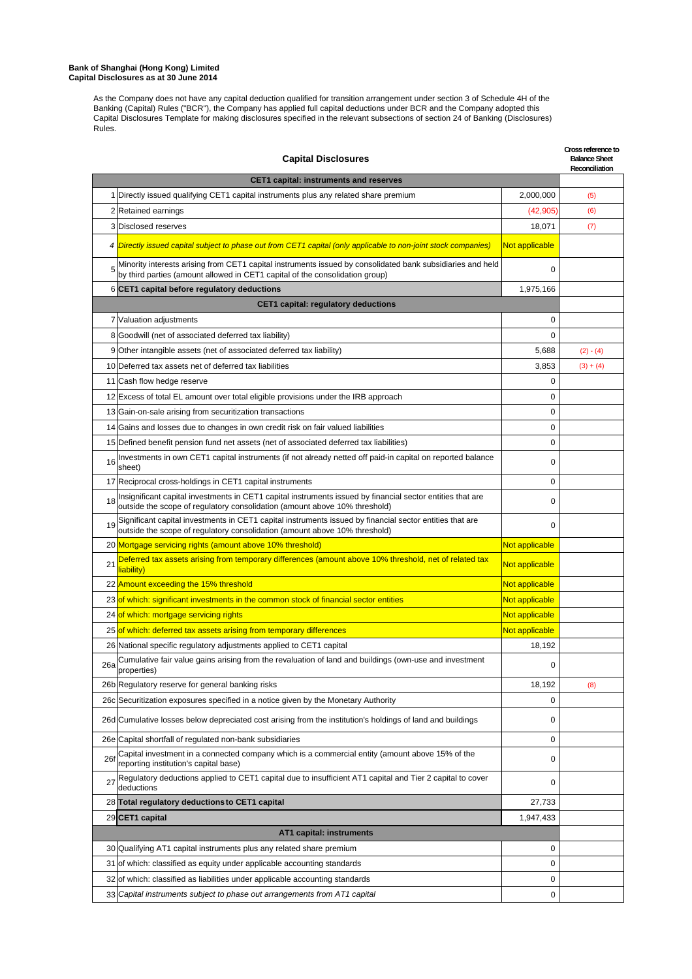# **Bank of Shanghai (Hong Kong) Limited Capital Disclosures as at 30 June 2014**

As the Company does not have any capital deduction qualified for transition arrangement under section 3 of Schedule 4H of the Banking (Capital) Rules ("BCR"), the Company has applied full capital deductions under BCR and the Company adopted this Capital Disclosures Template for making disclosures specified in the relevant subsections of section 24 of Banking (Disclosures) Rules.

|             | Cross reference to<br><b>Capital Disclosures</b>                                                                                                                                           |                |             |  |
|-------------|--------------------------------------------------------------------------------------------------------------------------------------------------------------------------------------------|----------------|-------------|--|
|             | <b>CET1 capital: instruments and reserves</b>                                                                                                                                              |                |             |  |
|             | 1 Directly issued qualifying CET1 capital instruments plus any related share premium                                                                                                       | 2,000,000      | (5)         |  |
|             | 2 Retained earnings                                                                                                                                                                        | (42,905        | (6)         |  |
|             | 3 Disclosed reserves                                                                                                                                                                       | 18,071         | (7)         |  |
|             | 4 Directly issued capital subject to phase out from CET1 capital (only applicable to non-joint stock companies)                                                                            | Not applicable |             |  |
|             | Minority interests arising from CET1 capital instruments issued by consolidated bank subsidiaries and held<br>by third parties (amount allowed in CET1 capital of the consolidation group) | 0              |             |  |
|             | 6 CET1 capital before regulatory deductions                                                                                                                                                | 1,975,166      |             |  |
|             | CET1 capital: regulatory deductions                                                                                                                                                        |                |             |  |
|             | 7 Valuation adjustments                                                                                                                                                                    | 0              |             |  |
|             | 8 Goodwill (net of associated deferred tax liability)                                                                                                                                      | 0              |             |  |
|             | 9 Other intangible assets (net of associated deferred tax liability)                                                                                                                       | 5,688          | $(2) - (4)$ |  |
|             | 10 Deferred tax assets net of deferred tax liabilities                                                                                                                                     | 3,853          | $(3) + (4)$ |  |
|             | 11 Cash flow hedge reserve                                                                                                                                                                 | 0              |             |  |
|             | 12 Excess of total EL amount over total eligible provisions under the IRB approach                                                                                                         | 0              |             |  |
|             | 13 Gain-on-sale arising from securitization transactions                                                                                                                                   | 0              |             |  |
|             | 14 Gains and losses due to changes in own credit risk on fair valued liabilities                                                                                                           | 0              |             |  |
|             | 15 Defined benefit pension fund net assets (net of associated deferred tax liabilities)                                                                                                    | $\mathbf 0$    |             |  |
| 16          | Investments in own CET1 capital instruments (if not already netted off paid-in capital on reported balance<br>sheet)                                                                       | 0              |             |  |
|             | 17 Reciprocal cross-holdings in CET1 capital instruments                                                                                                                                   | 0              |             |  |
| 18          | Insignificant capital investments in CET1 capital instruments issued by financial sector entities that are<br>outside the scope of regulatory consolidation (amount above 10% threshold)   | 0              |             |  |
| 19          | Significant capital investments in CET1 capital instruments issued by financial sector entities that are<br>outside the scope of regulatory consolidation (amount above 10% threshold)     | 0              |             |  |
|             | 20 Mortgage servicing rights (amount above 10% threshold)                                                                                                                                  | Not applicable |             |  |
| 21          | Deferred tax assets arising from temporary differences (amount above 10% threshold, net of related tax<br>liability)                                                                       | Not applicable |             |  |
|             | 22 Amount exceeding the 15% threshold                                                                                                                                                      | Not applicable |             |  |
|             | 23 of which: significant investments in the common stock of financial sector entities                                                                                                      | Not applicable |             |  |
|             | 24 of which: mortgage servicing rights                                                                                                                                                     | Not applicable |             |  |
|             | 25 of which: deferred tax assets arising from temporary differences                                                                                                                        | Not applicable |             |  |
|             | 26 National specific regulatory adjustments applied to CET1 capital                                                                                                                        | 18,192         |             |  |
| 26a         | Cumulative fair value gains arising from the revaluation of land and buildings (own-use and investment<br>properties)                                                                      | 0              |             |  |
|             | 26b Regulatory reserve for general banking risks                                                                                                                                           | 18,192         | (8)         |  |
|             | 26c Securitization exposures specified in a notice given by the Monetary Authority                                                                                                         | 0              |             |  |
|             | 26d Cumulative losses below depreciated cost arising from the institution's holdings of land and buildings                                                                                 | 0              |             |  |
|             | 26e Capital shortfall of regulated non-bank subsidiaries                                                                                                                                   | 0              |             |  |
| <b>261</b>  | Capital investment in a connected company which is a commercial entity (amount above 15% of the<br>reporting institution's capital base)                                                   | 0              |             |  |
| $2^{\circ}$ | Regulatory deductions applied to CET1 capital due to insufficient AT1 capital and Tier 2 capital to cover<br>deductions                                                                    | 0              |             |  |
|             | 28 Total regulatory deductions to CET1 capital                                                                                                                                             | 27,733         |             |  |
|             | 29 CET1 capital                                                                                                                                                                            | 1,947,433      |             |  |
|             | AT1 capital: instruments                                                                                                                                                                   |                |             |  |
|             | 30 Qualifying AT1 capital instruments plus any related share premium                                                                                                                       | 0              |             |  |
|             | 31 of which: classified as equity under applicable accounting standards                                                                                                                    | 0              |             |  |
|             | 32 of which: classified as liabilities under applicable accounting standards                                                                                                               | 0              |             |  |
|             | 33 Capital instruments subject to phase out arrangements from AT1 capital                                                                                                                  | 0              |             |  |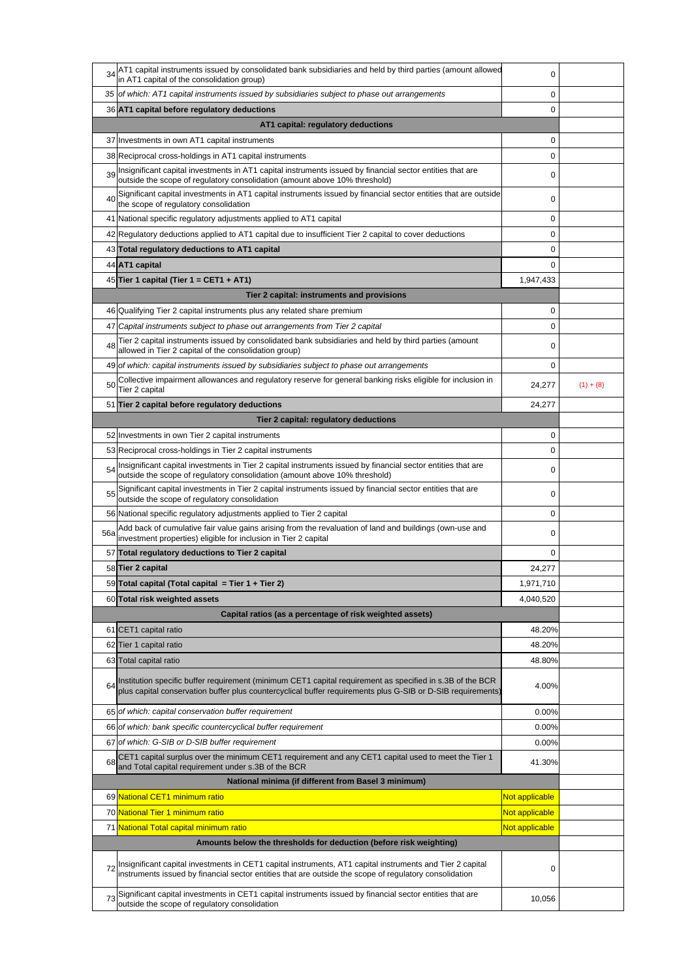| 34                                                  | AT1 capital instruments issued by consolidated bank subsidiaries and held by third parties (amount allowed<br>in AT1 capital of the consolidation group)                                                                 | 0              |             |
|-----------------------------------------------------|--------------------------------------------------------------------------------------------------------------------------------------------------------------------------------------------------------------------------|----------------|-------------|
|                                                     | 35 of which: AT1 capital instruments issued by subsidiaries subject to phase out arrangements                                                                                                                            | 0              |             |
|                                                     | 36 AT1 capital before regulatory deductions                                                                                                                                                                              | 0              |             |
|                                                     | AT1 capital: regulatory deductions                                                                                                                                                                                       |                |             |
|                                                     | 37 Investments in own AT1 capital instruments                                                                                                                                                                            | 0              |             |
|                                                     | 38 Reciprocal cross-holdings in AT1 capital instruments                                                                                                                                                                  | 0              |             |
| 39                                                  | Insignificant capital investments in AT1 capital instruments issued by financial sector entities that are<br>outside the scope of regulatory consolidation (amount above 10% threshold)                                  | 0              |             |
| 40                                                  | Significant capital investments in AT1 capital instruments issued by financial sector entities that are outside<br>the scope of regulatory consolidation                                                                 | 0              |             |
| 41                                                  | National specific regulatory adjustments applied to AT1 capital                                                                                                                                                          | 0              |             |
|                                                     | 42 Regulatory deductions applied to AT1 capital due to insufficient Tier 2 capital to cover deductions                                                                                                                   | 0              |             |
|                                                     | 43 Total regulatory deductions to AT1 capital                                                                                                                                                                            | 0              |             |
|                                                     | 44 AT1 capital                                                                                                                                                                                                           | 0              |             |
|                                                     | 45 Tier 1 capital (Tier 1 = CET1 + AT1)                                                                                                                                                                                  | 1,947,433      |             |
|                                                     | Tier 2 capital: instruments and provisions                                                                                                                                                                               |                |             |
|                                                     | 46 Qualifying Tier 2 capital instruments plus any related share premium                                                                                                                                                  | 0              |             |
| 47                                                  | Capital instruments subject to phase out arrangements from Tier 2 capital                                                                                                                                                | 0              |             |
| 48                                                  | Tier 2 capital instruments issued by consolidated bank subsidiaries and held by third parties (amount<br>allowed in Tier 2 capital of the consolidation group)                                                           | 0              |             |
|                                                     | 49 of which: capital instruments issued by subsidiaries subject to phase out arrangements                                                                                                                                | 0              |             |
| 50                                                  | Collective impairment allowances and regulatory reserve for general banking risks eligible for inclusion in<br>Tier 2 capital                                                                                            | 24,277         | $(1) + (8)$ |
|                                                     | 51 Tier 2 capital before regulatory deductions                                                                                                                                                                           | 24,277         |             |
|                                                     | Tier 2 capital: regulatory deductions                                                                                                                                                                                    |                |             |
|                                                     | 52 Investments in own Tier 2 capital instruments                                                                                                                                                                         | 0              |             |
|                                                     | 53 Reciprocal cross-holdings in Tier 2 capital instruments                                                                                                                                                               | 0              |             |
| 54                                                  | Insignificant capital investments in Tier 2 capital instruments issued by financial sector entities that are<br>outside the scope of regulatory consolidation (amount above 10% threshold)                               | 0              |             |
| 55                                                  | Significant capital investments in Tier 2 capital instruments issued by financial sector entities that are<br>outside the scope of regulatory consolidation                                                              | 0              |             |
|                                                     | 56 National specific regulatory adjustments applied to Tier 2 capital                                                                                                                                                    | 0              |             |
| 56a                                                 | Add back of cumulative fair value gains arising from the revaluation of land and buildings (own-use and<br>investment properties) eligible for inclusion in Tier 2 capital                                               | 0              |             |
|                                                     | 57 Total regulatory deductions to Tier 2 capital                                                                                                                                                                         | 0              |             |
|                                                     | 58 Tier 2 capital                                                                                                                                                                                                        | 24,277         |             |
|                                                     | 59 Total capital (Total capital = Tier 1 + Tier 2)                                                                                                                                                                       | 1,971,710      |             |
|                                                     | 60 Total risk weighted assets                                                                                                                                                                                            | 4,040,520      |             |
|                                                     | Capital ratios (as a percentage of risk weighted assets)                                                                                                                                                                 |                |             |
|                                                     | 61 CET1 capital ratio                                                                                                                                                                                                    | 48.20%         |             |
|                                                     | 62 Tier 1 capital ratio                                                                                                                                                                                                  | 48.20%         |             |
|                                                     | 63 Total capital ratio                                                                                                                                                                                                   | 48.80%         |             |
|                                                     | Institution specific buffer requirement (minimum CET1 capital requirement as specified in s.3B of the BCR<br>plus capital conservation buffer plus countercyclical buffer requirements plus G-SIB or D-SIB requirements) | 4.00%          |             |
|                                                     | 65 of which: capital conservation buffer requirement                                                                                                                                                                     | 0.00%          |             |
|                                                     | 66 of which: bank specific countercyclical buffer requirement                                                                                                                                                            | 0.00%          |             |
|                                                     | 67 of which: G-SIB or D-SIB buffer requirement                                                                                                                                                                           | 0.00%          |             |
| 68                                                  | CET1 capital surplus over the minimum CET1 requirement and any CET1 capital used to meet the Tier 1<br>and Total capital requirement under s.3B of the BCR                                                               | 41.30%         |             |
| National minima (if different from Basel 3 minimum) |                                                                                                                                                                                                                          |                |             |
|                                                     | 69 National CET1 minimum ratio                                                                                                                                                                                           | Not applicable |             |
|                                                     | 70 National Tier 1 minimum ratio                                                                                                                                                                                         | Not applicable |             |
|                                                     | 71 National Total capital minimum ratio                                                                                                                                                                                  | Not applicable |             |
|                                                     | Amounts below the thresholds for deduction (before risk weighting)                                                                                                                                                       |                |             |
|                                                     | Insignificant capital investments in CET1 capital instruments, AT1 capital instruments and Tier 2 capital<br>instruments issued by financial sector entities that are outside the scope of regulatory consolidation      | 0              |             |
| 73                                                  | Significant capital investments in CET1 capital instruments issued by financial sector entities that are<br>outside the scope of regulatory consolidation                                                                | 10,056         |             |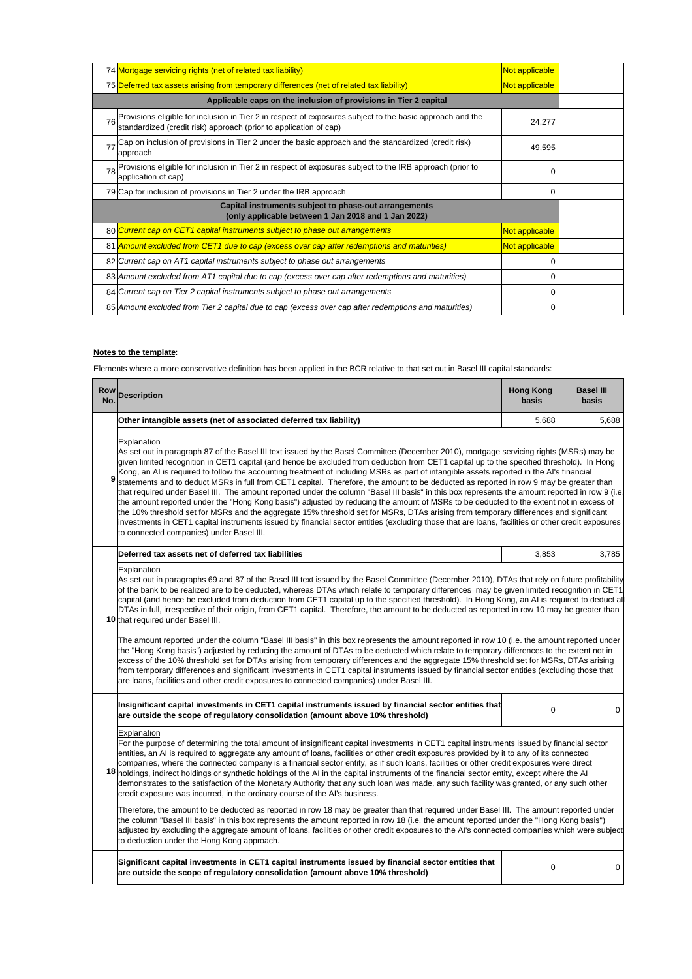|                                                                                                              | 74 Mortgage servicing rights (net of related tax liability)                                                                                                                    | Not applicable |  |
|--------------------------------------------------------------------------------------------------------------|--------------------------------------------------------------------------------------------------------------------------------------------------------------------------------|----------------|--|
|                                                                                                              | 75 Deferred tax assets arising from temporary differences (net of related tax liability)                                                                                       | Not applicable |  |
|                                                                                                              | Applicable caps on the inclusion of provisions in Tier 2 capital                                                                                                               |                |  |
|                                                                                                              | 76 Provisions eligible for inclusion in Tier 2 in respect of exposures subject to the basic approach and the standardized (credit risk) approach (prior to application of cap) | 24,277         |  |
| 77                                                                                                           | Cap on inclusion of provisions in Tier 2 under the basic approach and the standardized (credit risk)<br>approach                                                               | 49,595         |  |
| 78                                                                                                           | Provisions eligible for inclusion in Tier 2 in respect of exposures subject to the IRB approach (prior to<br>application of cap)                                               | 0              |  |
|                                                                                                              | 79 Cap for inclusion of provisions in Tier 2 under the IRB approach                                                                                                            | 0              |  |
| Capital instruments subject to phase-out arrangements<br>(only applicable between 1 Jan 2018 and 1 Jan 2022) |                                                                                                                                                                                |                |  |
|                                                                                                              | 80 Current cap on CET1 capital instruments subject to phase out arrangements                                                                                                   | Not applicable |  |
|                                                                                                              | 81 Amount excluded from CET1 due to cap (excess over cap after redemptions and maturities)                                                                                     | Not applicable |  |
|                                                                                                              | 82 Current cap on AT1 capital instruments subject to phase out arrangements                                                                                                    | 0              |  |
|                                                                                                              | 83 Amount excluded from AT1 capital due to cap (excess over cap after redemptions and maturities)                                                                              | 0              |  |
|                                                                                                              | 84 Current cap on Tier 2 capital instruments subject to phase out arrangements                                                                                                 | 0              |  |
|                                                                                                              | 85 Amount excluded from Tier 2 capital due to cap (excess over cap after redemptions and maturities)                                                                           | 0              |  |

# **Notes to the template:**

Elements where a more conservative definition has been applied in the BCR relative to that set out in Basel III capital standards:

| Row<br>No. | <b>Description</b>                                                                                                                                                                                                                                                                                                                                                                                                                                                                                                                                                                                                                                                                                                                                                                                                                                                                                                                                                                                                                                                                                                                                                                                                                                                                                                                         | <b>Hong Kong</b><br>basis | <b>Basel III</b><br>basis |  |
|------------|--------------------------------------------------------------------------------------------------------------------------------------------------------------------------------------------------------------------------------------------------------------------------------------------------------------------------------------------------------------------------------------------------------------------------------------------------------------------------------------------------------------------------------------------------------------------------------------------------------------------------------------------------------------------------------------------------------------------------------------------------------------------------------------------------------------------------------------------------------------------------------------------------------------------------------------------------------------------------------------------------------------------------------------------------------------------------------------------------------------------------------------------------------------------------------------------------------------------------------------------------------------------------------------------------------------------------------------------|---------------------------|---------------------------|--|
|            | Other intangible assets (net of associated deferred tax liability)                                                                                                                                                                                                                                                                                                                                                                                                                                                                                                                                                                                                                                                                                                                                                                                                                                                                                                                                                                                                                                                                                                                                                                                                                                                                         | 5,688                     | 5,688                     |  |
| 9          | Explanation<br>As set out in paragraph 87 of the Basel III text issued by the Basel Committee (December 2010), mortgage servicing rights (MSRs) may be<br>given limited recognition in CET1 capital (and hence be excluded from deduction from CET1 capital up to the specified threshold). In Hong<br>Kong, an AI is required to follow the accounting treatment of including MSRs as part of intangible assets reported in the AI's financial<br>statements and to deduct MSRs in full from CET1 capital. Therefore, the amount to be deducted as reported in row 9 may be greater than<br>that required under Basel III. The amount reported under the column "Basel III basis" in this box represents the amount reported in row 9 (i.e.<br>the amount reported under the "Hong Kong basis") adjusted by reducing the amount of MSRs to be deducted to the extent not in excess of<br>the 10% threshold set for MSRs and the aggregate 15% threshold set for MSRs, DTAs arising from temporary differences and significant<br>investments in CET1 capital instruments issued by financial sector entities (excluding those that are loans, facilities or other credit exposures<br>to connected companies) under Basel III.                                                                                                            |                           |                           |  |
|            | Deferred tax assets net of deferred tax liabilities                                                                                                                                                                                                                                                                                                                                                                                                                                                                                                                                                                                                                                                                                                                                                                                                                                                                                                                                                                                                                                                                                                                                                                                                                                                                                        | 3,853                     | 3,785                     |  |
|            | <b>Explanation</b><br>As set out in paragraphs 69 and 87 of the Basel III text issued by the Basel Committee (December 2010), DTAs that rely on future profitability<br>of the bank to be realized are to be deducted, whereas DTAs which relate to temporary differences may be given limited recognition in CET1<br>capital (and hence be excluded from deduction from CET1 capital up to the specified threshold). In Hong Kong, an AI is required to deduct al<br>DTAs in full, irrespective of their origin, from CET1 capital. Therefore, the amount to be deducted as reported in row 10 may be greater than<br>10 that required under Basel III.<br>The amount reported under the column "Basel III basis" in this box represents the amount reported in row 10 (i.e. the amount reported under<br>the "Hong Kong basis") adjusted by reducing the amount of DTAs to be deducted which relate to temporary differences to the extent not in<br>excess of the 10% threshold set for DTAs arising from temporary differences and the aggregate 15% threshold set for MSRs, DTAs arising<br>from temporary differences and significant investments in CET1 capital instruments issued by financial sector entities (excluding those that<br>are loans, facilities and other credit exposures to connected companies) under Basel III. |                           |                           |  |
|            | Insignificant capital investments in CET1 capital instruments issued by financial sector entities that<br>are outside the scope of regulatory consolidation (amount above 10% threshold)                                                                                                                                                                                                                                                                                                                                                                                                                                                                                                                                                                                                                                                                                                                                                                                                                                                                                                                                                                                                                                                                                                                                                   | $\mathbf 0$               | $\mathbf 0$               |  |
|            | Explanation<br>For the purpose of determining the total amount of insignificant capital investments in CET1 capital instruments issued by financial sector<br>entities, an AI is required to aggregate any amount of loans, facilities or other credit exposures provided by it to any of its connected<br>companies, where the connected company is a financial sector entity, as if such loans, facilities or other credit exposures were direct<br>18 holdings, indirect holdings or synthetic holdings of the AI in the capital instruments of the financial sector entity, except where the AI<br>demonstrates to the satisfaction of the Monetary Authority that any such loan was made, any such facility was granted, or any such other<br>credit exposure was incurred, in the ordinary course of the AI's business.<br>Therefore, the amount to be deducted as reported in row 18 may be greater than that required under Basel III. The amount reported under<br>the column "Basel III basis" in this box represents the amount reported in row 18 (i.e. the amount reported under the "Hong Kong basis")<br>adjusted by excluding the aggregate amount of loans, facilities or other credit exposures to the AI's connected companies which were subject<br>to deduction under the Hong Kong approach.                         |                           |                           |  |
|            | Significant capital investments in CET1 capital instruments issued by financial sector entities that<br>are outside the scope of regulatory consolidation (amount above 10% threshold)                                                                                                                                                                                                                                                                                                                                                                                                                                                                                                                                                                                                                                                                                                                                                                                                                                                                                                                                                                                                                                                                                                                                                     | 0                         | 0                         |  |